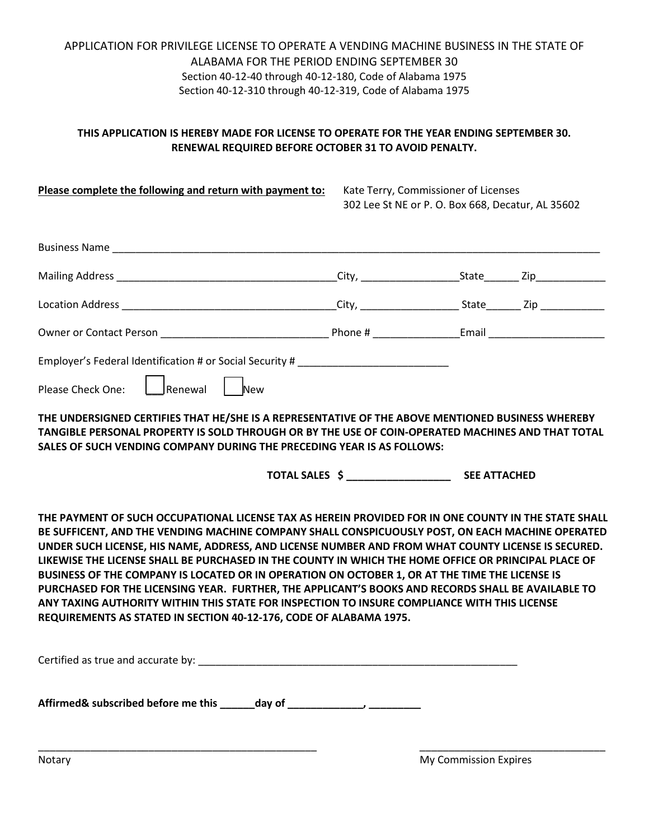# APPLICATION FOR PRIVILEGE LICENSE TO OPERATE A VENDING MACHINE BUSINESS IN THE STATE OF ALABAMA FOR THE PERIOD ENDING SEPTEMBER 30 Section 40-12-40 through 40-12-180, Code of Alabama 1975 Section 40-12-310 through 40-12-319, Code of Alabama 1975

### **THIS APPLICATION IS HEREBY MADE FOR LICENSE TO OPERATE FOR THE YEAR ENDING SEPTEMBER 30. RENEWAL REQUIRED BEFORE OCTOBER 31 TO AVOID PENALTY.**

| Please complete the following and return with payment to:                                                                                                                                                                                                                                                                                                                                                                                                                                                                                                                                                                                                                                                                                                                                            | Kate Terry, Commissioner of Licenses<br>302 Lee St NE or P. O. Box 668, Decatur, AL 35602 |  |
|------------------------------------------------------------------------------------------------------------------------------------------------------------------------------------------------------------------------------------------------------------------------------------------------------------------------------------------------------------------------------------------------------------------------------------------------------------------------------------------------------------------------------------------------------------------------------------------------------------------------------------------------------------------------------------------------------------------------------------------------------------------------------------------------------|-------------------------------------------------------------------------------------------|--|
| Business Name and the contract of the contract of the contract of the contract of the contract of the contract of the contract of the contract of the contract of the contract of the contract of the contract of the contract                                                                                                                                                                                                                                                                                                                                                                                                                                                                                                                                                                       |                                                                                           |  |
|                                                                                                                                                                                                                                                                                                                                                                                                                                                                                                                                                                                                                                                                                                                                                                                                      |                                                                                           |  |
|                                                                                                                                                                                                                                                                                                                                                                                                                                                                                                                                                                                                                                                                                                                                                                                                      |                                                                                           |  |
|                                                                                                                                                                                                                                                                                                                                                                                                                                                                                                                                                                                                                                                                                                                                                                                                      |                                                                                           |  |
| Employer's Federal Identification # or Social Security # _______________________<br>Please Check One: Leginnewal   New<br>THE UNDERSIGNED CERTIFIES THAT HE/SHE IS A REPRESENTATIVE OF THE ABOVE MENTIONED BUSINESS WHEREBY<br>TANGIBLE PERSONAL PROPERTY IS SOLD THROUGH OR BY THE USE OF COIN-OPERATED MACHINES AND THAT TOTAL<br>SALES OF SUCH VENDING COMPANY DURING THE PRECEDING YEAR IS AS FOLLOWS:                                                                                                                                                                                                                                                                                                                                                                                           |                                                                                           |  |
|                                                                                                                                                                                                                                                                                                                                                                                                                                                                                                                                                                                                                                                                                                                                                                                                      |                                                                                           |  |
| THE PAYMENT OF SUCH OCCUPATIONAL LICENSE TAX AS HEREIN PROVIDED FOR IN ONE COUNTY IN THE STATE SHALL<br>BE SUFFICENT, AND THE VENDING MACHINE COMPANY SHALL CONSPICUOUSLY POST, ON EACH MACHINE OPERATED<br>UNDER SUCH LICENSE, HIS NAME, ADDRESS, AND LICENSE NUMBER AND FROM WHAT COUNTY LICENSE IS SECURED.<br>LIKEWISE THE LICENSE SHALL BE PURCHASED IN THE COUNTY IN WHICH THE HOME OFFICE OR PRINCIPAL PLACE OF<br>BUSINESS OF THE COMPANY IS LOCATED OR IN OPERATION ON OCTOBER 1, OR AT THE TIME THE LICENSE IS<br>PURCHASED FOR THE LICENSING YEAR. FURTHER, THE APPLICANT'S BOOKS AND RECORDS SHALL BE AVAILABLE TO<br>ANY TAXING AUTHORITY WITHIN THIS STATE FOR INSPECTION TO INSURE COMPLIANCE WITH THIS LICENSE<br>REQUIREMENTS AS STATED IN SECTION 40-12-176, CODE OF ALABAMA 1975. |                                                                                           |  |
| Certified as true and accurate by: Letter and the set of the set of the set of the set of the set of the set of the set of the set of the set of the set of the set of the set of the set of the set of the set of the set of                                                                                                                                                                                                                                                                                                                                                                                                                                                                                                                                                                        |                                                                                           |  |
|                                                                                                                                                                                                                                                                                                                                                                                                                                                                                                                                                                                                                                                                                                                                                                                                      |                                                                                           |  |

\_\_\_\_\_\_\_\_\_\_\_\_\_\_\_\_\_\_\_\_\_\_\_\_\_\_\_\_\_\_\_\_\_\_\_\_\_\_\_\_\_\_\_\_\_\_\_\_ \_\_\_\_\_\_\_\_\_\_\_\_\_\_\_\_\_\_\_\_\_\_\_\_\_\_\_\_\_\_\_\_